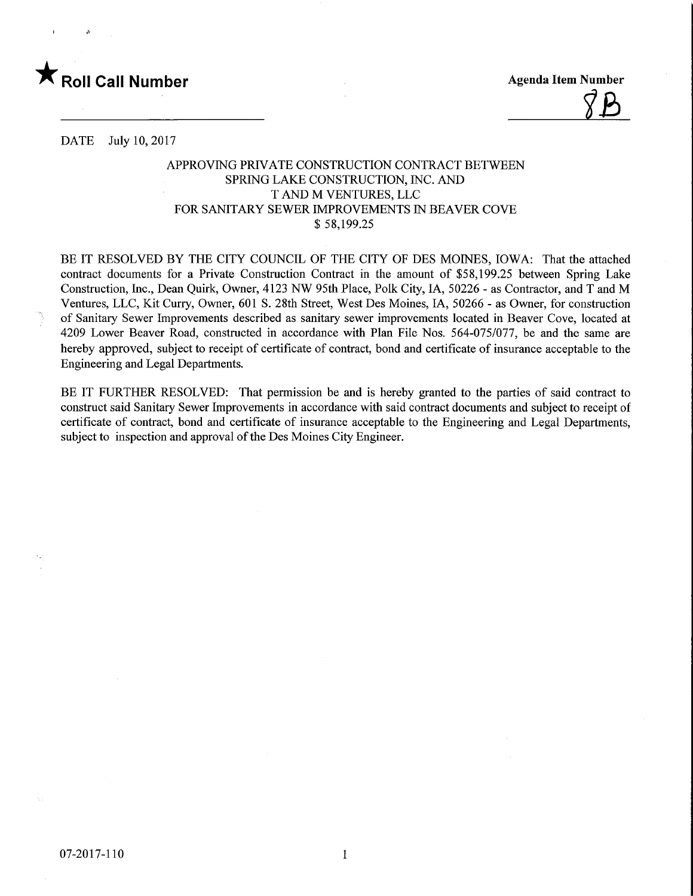

DATE July 10, 2017

## APPROVING PRIVATE CONSTRUCTION CONTRACT BETWEEN SPRING LAKE CONSTRUCTION, INC. AND T AND M VENTURES, LLC FOR SANITARY SEWER IMPROVEMENTS IN BEAVER COVE \$ 58,199.25

BE IT RESOLVED BY THE CITY COUNCIL OF THE CITY OF DES MOINES, IOWA: That the attached contract documents for a Private Construction Contract in the amount of \$58,199.25 between Spring Lake Construction, Inc., Dean Quirk, Owner, 4123 NW 95th Place, Polk City, IA, 50226 - as Contractor, and T and M Ventures, LLC, Kit Curry, Owner, 601 S. 28th Street, West Des Moines, LA, 50266 - as Owner, for construction of Sanitary Sewer Improvements described as sanitary sewer improvements located in Beaver Cove, located at 4209 Lower Beaver Road, constructed in accordance with Plan File Nos. 564-075/077, be and the same are hereby approved, subject to receipt of certificate of contract, bond and certificate of insurance acceptable to the Engineering and Legal Departments.

BE IT FURTHER RESOLVED: That permission be and is hereby granted to the parties of said contract to construct said Sanitary Sewer Improvements in accordance with said contract documents and subject to receipt of certificate of contract, bond and certificate of insurance acceptable to the Engineering and Legal Departments, subject to inspection and approval of the Des Moines City Engineer.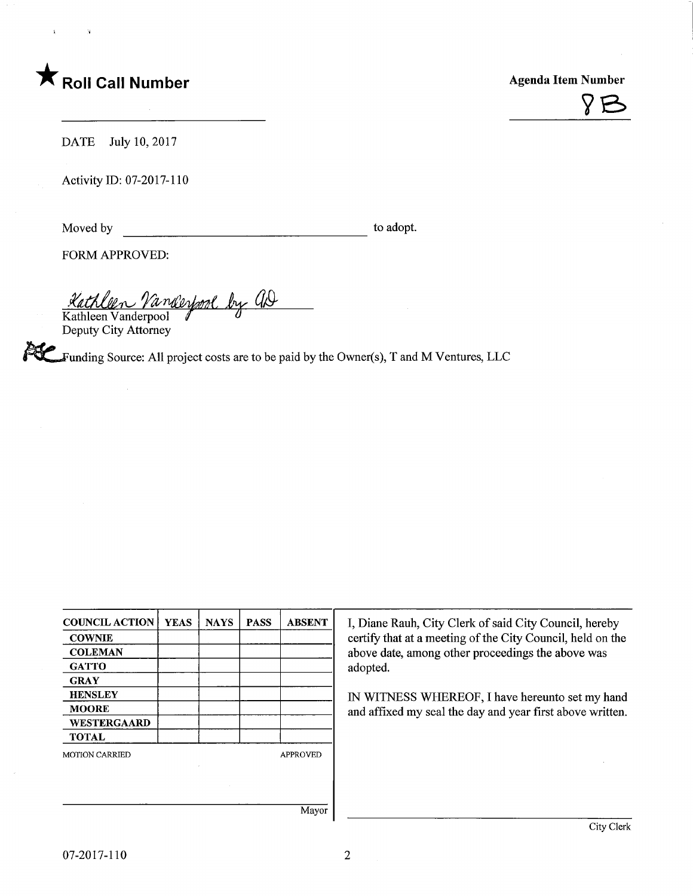



DATE July 10, 2017

Activity ID: 07-2017-110

Moved by to adopt.

FORM APPROVED:

<u>Kathleen Vanderpool by GD</u> Kathleen Vanderpool

Deputy City Attorney

 $\blacktriangleright$  Funding Source: All project costs are to be paid by the Owner(s), T and M Ventures, LLC

| <b>COUNCIL ACTION</b> | <b>YEAS</b> | <b>NAYS</b> | <b>PASS</b> | <b>ABSENT</b>   |
|-----------------------|-------------|-------------|-------------|-----------------|
| <b>COWNIE</b>         |             |             |             |                 |
| <b>COLEMAN</b>        |             |             |             |                 |
| <b>GATTO</b>          |             |             |             |                 |
| <b>GRAY</b>           |             |             |             |                 |
| <b>HENSLEY</b>        |             |             |             |                 |
| <b>MOORE</b>          |             |             |             |                 |
| <b>WESTERGAARD</b>    |             |             |             |                 |
| <b>TOTAL</b>          |             |             |             |                 |
| <b>MOTION CARRIED</b> |             |             |             | <b>APPROVED</b> |
|                       |             |             |             |                 |
|                       |             |             |             |                 |

I, Diane Rauh, City Clerk of said City Council, hereby certify that at a meeting of the City Council, held on the above date, among other proceedings the above was adopted.

IN WITNESS WHEREOF, I have hereunto set my hand and affixed my seal the day and year first above written.

Mayor